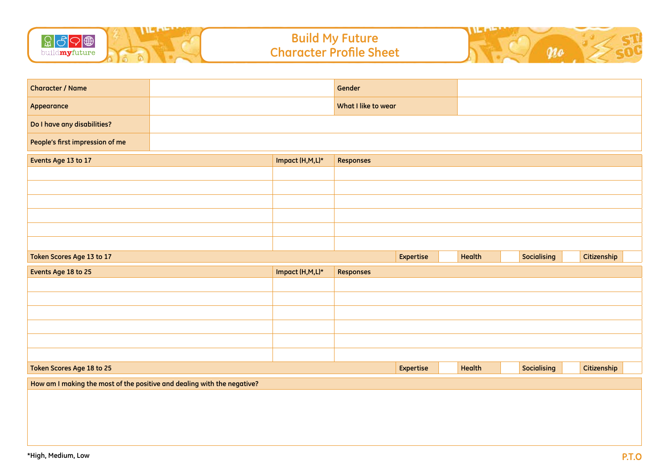

| <b>Character / Name</b>                                                 |  |                 | Gender              |           |        |                    |             |
|-------------------------------------------------------------------------|--|-----------------|---------------------|-----------|--------|--------------------|-------------|
| Appearance                                                              |  |                 | What I like to wear |           |        |                    |             |
| Do I have any disabilities?                                             |  |                 |                     |           |        |                    |             |
| People's first impression of me                                         |  |                 |                     |           |        |                    |             |
| Events Age 13 to 17                                                     |  | Impact (H,M,L)* | <b>Responses</b>    |           |        |                    |             |
|                                                                         |  |                 |                     |           |        |                    |             |
|                                                                         |  |                 |                     |           |        |                    |             |
|                                                                         |  |                 |                     |           |        |                    |             |
|                                                                         |  |                 |                     |           |        |                    |             |
|                                                                         |  |                 |                     |           |        |                    |             |
|                                                                         |  |                 |                     |           |        |                    |             |
| Token Scores Age 13 to 17                                               |  |                 |                     | Expertise | Health | <b>Socialising</b> | Citizenship |
| Events Age 18 to 25                                                     |  | Impact (H,M,L)* | <b>Responses</b>    |           |        |                    |             |
|                                                                         |  |                 |                     |           |        |                    |             |
|                                                                         |  |                 |                     |           |        |                    |             |
|                                                                         |  |                 |                     |           |        |                    |             |
|                                                                         |  |                 |                     |           |        |                    |             |
|                                                                         |  |                 |                     |           |        |                    |             |
|                                                                         |  |                 |                     |           |        |                    |             |
|                                                                         |  |                 |                     |           |        |                    |             |
| Token Scores Age 18 to 25                                               |  |                 |                     | Expertise | Health | <b>Socialising</b> | Citizenship |
| How am I making the most of the positive and dealing with the negative? |  |                 |                     |           |        |                    |             |
|                                                                         |  |                 |                     |           |        |                    |             |